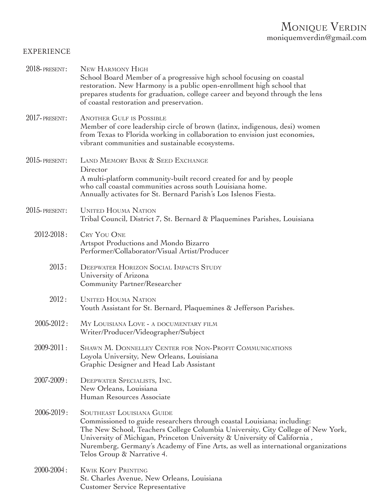## Monique Verdin moniquemverdin@gmail.com

## EXPERIENCE

| 2018-PRESENT:    | NEW HARMONY HIGH<br>School Board Member of a progressive high school focusing on coastal<br>restoration. New Harmony is a public open-enrollment high school that<br>prepares students for graduation, college career and beyond through the lens<br>of coastal restoration and preservation.                                                                                                 |
|------------------|-----------------------------------------------------------------------------------------------------------------------------------------------------------------------------------------------------------------------------------------------------------------------------------------------------------------------------------------------------------------------------------------------|
| 2017-PRESENT:    | <b>ANOTHER GULF IS POSSIBLE</b><br>Member of core leadership circle of brown (latinx, indigenous, desi) women<br>from Texas to Florida working in collaboration to envision just economies,<br>vibrant communities and sustainable ecosystems.                                                                                                                                                |
| $2015$ -PRESENT: | LAND MEMORY BANK & SEED EXCHANGE<br>Director<br>A multi-platform community-built record created for and by people<br>who call coastal communities across south Louisiana home.<br>Annually activates for St. Bernard Parish's Los Islenos Fiesta.                                                                                                                                             |
| $2015$ -PRESENT: | <b>UNITED HOUMA NATION</b><br>Tribal Council, District 7, St. Bernard & Plaquemines Parishes, Louisiana                                                                                                                                                                                                                                                                                       |
| $2012 - 2018$ :  | <b>CRY YOU ONE</b><br>Artspot Productions and Mondo Bizarro<br>Performer/Collaborator/Visual Artist/Producer                                                                                                                                                                                                                                                                                  |
| 2013:            | <b>DEEPWATER HORIZON SOCIAL IMPACTS STUDY</b><br>University of Arizona<br>Community Partner/Researcher                                                                                                                                                                                                                                                                                        |
| 2012:            | <b>UNITED HOUMA NATION</b><br>Youth Assistant for St. Bernard, Plaquemines & Jefferson Parishes.                                                                                                                                                                                                                                                                                              |
| $2005 - 2012$ :  | MY LOUISIANA LOVE - A DOCUMENTARY FILM<br>Writer/Producer/Videographer/Subject                                                                                                                                                                                                                                                                                                                |
| 2009-2011:       | SHAWN M. DONNELLEY CENTER FOR NON-PROFIT COMMUNICATIONS<br>Loyola University, New Orleans, Louisiana<br>Graphic Designer and Head Lab Assistant                                                                                                                                                                                                                                               |
| $2007 - 2009$ :  | DEEPWATER SPECIALISTS, INC.<br>New Orleans, Louisiana<br>Human Resources Associate                                                                                                                                                                                                                                                                                                            |
| 2006-2019:       | <b>SOUTHEAST LOUISIANA GUIDE</b><br>Commissioned to guide researchers through coastal Louisiana; including:<br>The New School, Teachers College Columbia University, City College of New York,<br>University of Michigan, Princeton University & University of California,<br>Nuremberg, Germany's Academy of Fine Arts, as well as international organizations<br>Telos Group & Narrative 4. |
| $2000 - 2004$ :  | <b>KWIK KOPY PRINTING</b><br>St. Charles Avenue, New Orleans, Louisiana<br><b>Customer Service Representative</b>                                                                                                                                                                                                                                                                             |